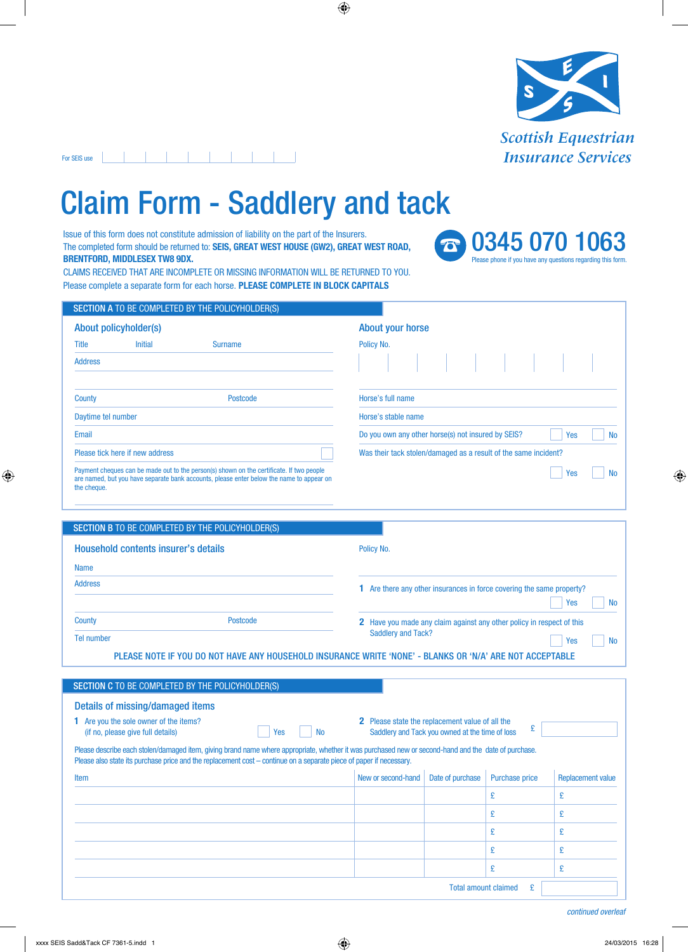

• 0345 070 1063

Please phone if you have any questions regarding this form.

## . . . . . . . . . . For SEIS use

## Claim Form - Saddlery and tack

Issue of this form does not constitute admission of liability on the part of the Insurers. The completed form should be returned to: **SEIS, GREAT WEST HOUSE (GW2), GREAT WEST ROAD, BRENTFORD, MIDDLESEX TW8 9DX.**

CLAIMS RECEIVED THAT ARE INCOMPLETE OR MISSING INFORMATION WILL BE RETURNED TO YOU. Please complete a separate form for each horse. **PLEASE COMPLETE IN BLOCK CAPITALS**

|                                 | SECTION A TO BE COMPLETED BY THE POLICYHOLDER(S)                                                                                                                                     |                                                                        |  |  |  |  |
|---------------------------------|--------------------------------------------------------------------------------------------------------------------------------------------------------------------------------------|------------------------------------------------------------------------|--|--|--|--|
| About policyholder(s)           |                                                                                                                                                                                      | <b>About your horse</b>                                                |  |  |  |  |
| Title<br><b>Initial</b>         | <b>Surname</b>                                                                                                                                                                       | Policy No.                                                             |  |  |  |  |
| <b>Address</b>                  |                                                                                                                                                                                      |                                                                        |  |  |  |  |
| County                          | <b>Postcode</b>                                                                                                                                                                      | Horse's full name                                                      |  |  |  |  |
| Daytime tel number              |                                                                                                                                                                                      | Horse's stable name                                                    |  |  |  |  |
| Email                           |                                                                                                                                                                                      | Do you own any other horse(s) not insured by SEIS?<br>Yes<br><b>No</b> |  |  |  |  |
| Please tick here if new address |                                                                                                                                                                                      | Was their tack stolen/damaged as a result of the same incident?        |  |  |  |  |
| the cheque.                     | Payment cheques can be made out to the person(s) shown on the certificate. If two people<br>are named, but you have separate bank accounts, please enter below the name to appear on | Yes<br>No.                                                             |  |  |  |  |

|                                      | <b>SECTION B TO BE COMPLETED BY THE POLICYHOLDER(S)</b> |                                                                                                          |  |  |  |  |
|--------------------------------------|---------------------------------------------------------|----------------------------------------------------------------------------------------------------------|--|--|--|--|
| Household contents insurer's details |                                                         | Policy No.                                                                                               |  |  |  |  |
| <b>Name</b>                          |                                                         |                                                                                                          |  |  |  |  |
| <b>Address</b>                       |                                                         | Are there any other insurances in force covering the same property?                                      |  |  |  |  |
|                                      |                                                         | Yes                                                                                                      |  |  |  |  |
| <b>County</b>                        | Postcode                                                | Have you made any claim against any other policy in respect of this<br>2.                                |  |  |  |  |
| Tel number                           |                                                         | <b>Saddlery and Tack?</b><br>Yes<br><b>No</b>                                                            |  |  |  |  |
|                                      |                                                         | PLEASE NOTE IF YOU DO NOT HAVE ANY HOUSEHOLD INSURANCE WRITE 'NONE' - BLANKS OR 'N/A' ARE NOT ACCEPTABLE |  |  |  |  |

| <b>SECTION C TO BE COMPLETED BY THE POLICYHOLDER(S)</b>                                                                                                                                                                                                                     |                                                                                                                |                  |                       |                          |  |  |  |
|-----------------------------------------------------------------------------------------------------------------------------------------------------------------------------------------------------------------------------------------------------------------------------|----------------------------------------------------------------------------------------------------------------|------------------|-----------------------|--------------------------|--|--|--|
| Details of missing/damaged items                                                                                                                                                                                                                                            |                                                                                                                |                  |                       |                          |  |  |  |
| 1 Are you the sole owner of the items?<br>(if no, please give full details)<br>Yes<br>No.                                                                                                                                                                                   | <b>2</b> Please state the replacement value of all the<br>£<br>Saddlery and Tack you owned at the time of loss |                  |                       |                          |  |  |  |
| Please describe each stolen/damaged item, giving brand name where appropriate, whether it was purchased new or second-hand and the date of purchase.<br>Please also state its purchase price and the replacement cost – continue on a separate piece of paper if necessary. |                                                                                                                |                  |                       |                          |  |  |  |
| Item                                                                                                                                                                                                                                                                        | New or second-hand                                                                                             | Date of purchase | <b>Purchase price</b> | <b>Replacement value</b> |  |  |  |
|                                                                                                                                                                                                                                                                             |                                                                                                                |                  | £                     | £                        |  |  |  |
|                                                                                                                                                                                                                                                                             |                                                                                                                |                  | £                     | £                        |  |  |  |
|                                                                                                                                                                                                                                                                             |                                                                                                                |                  | £                     | £                        |  |  |  |
|                                                                                                                                                                                                                                                                             |                                                                                                                |                  | £                     | £                        |  |  |  |
|                                                                                                                                                                                                                                                                             |                                                                                                                |                  | £                     | £                        |  |  |  |
| <b>Total amount claimed</b><br>£                                                                                                                                                                                                                                            |                                                                                                                |                  |                       |                          |  |  |  |